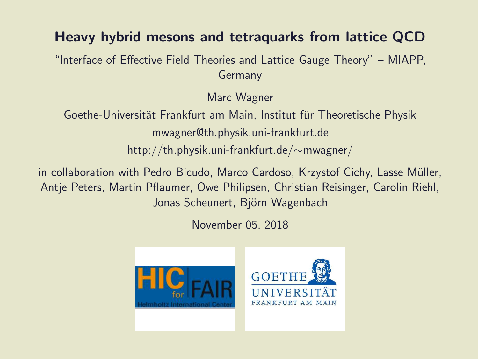#### Heavy hybrid mesons and tetraquarks from lattice QCD

"Interface of Effective Field Theories and Lattice Gauge Theory" – MIAPP, Germany

Marc Wagner

Goethe-Universität Frankfurt am Main, Institut für Theoretische Physik mwagner@th.physik.uni-frankfurt.de http://th.physik.uni-frankfurt.de/∼mwagner/

in collaboration with Pedro Bicudo, Marco Cardoso, Krzystof Cichy, Lasse Müller, Antje Peters, Martin Pflaumer, Owe Philipsen, Christian Reisinger, Carolin Riehl, Jonas Scheunert, Björn Wagenbach

November 05, 2018

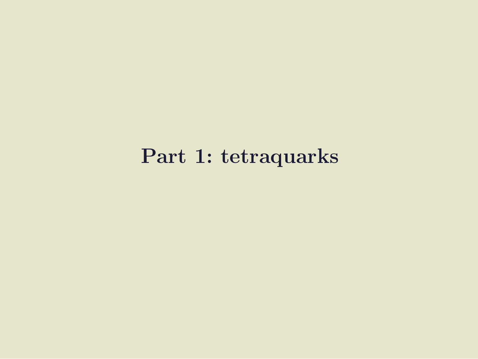#### Part 1: tetraquarks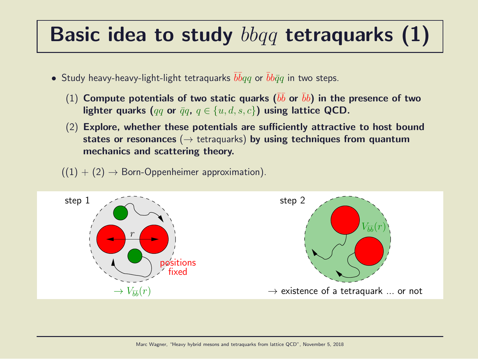#### Basic idea to study  $bbqq$  tetraquarks  $(1)$

- $\bullet$  Study heavy-heavy-light-light tetraquarks  $\bar{b}\bar{b}qq$  or  $\bar{b}b\bar{q}q$  in two steps.
	- $(1)$  Compute potentials of two static quarks  $(\bar{b}\bar{b}$  or  $\bar{b}b)$  in the presence of two lighter quarks (qq or  $\bar{q}q$ ,  $q \in \{u, d, s, c\}$ ) using lattice QCD.
	- (2) Explore, whether these potentials are sufficiently attractive to host bound states or resonances ( $\rightarrow$  tetraquarks) by using techniques from quantum mechanics and scattering theory.
	- $((1) + (2) \rightarrow$  Born-Oppenheimer approximation).

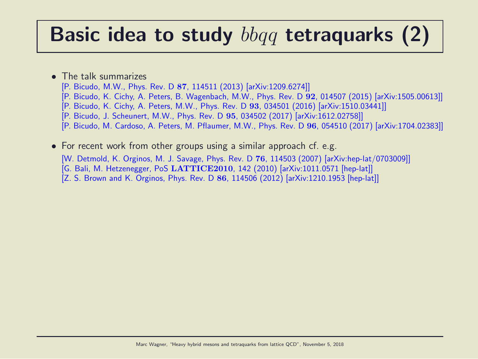#### Basic idea to study  $bbqq$  tetraquarks (2)

- The talk summarizes
	- [P. Bicudo, M.W., Phys. Rev. D 87, 114511 (2013) [arXiv:1209.6274]]
	- [P. Bicudo, K. Cichy, A. Peters, B. Wagenbach, M.W., Phys. Rev. D 92, 014507 (2015) [arXiv:1505.00613]]
	- [P. Bicudo, K. Cichy, A. Peters, M.W., Phys. Rev. D 93, 034501 (2016) [arXiv:1510.03441]]
	- [P. Bicudo, J. Scheunert, M.W., Phys. Rev. D 95, 034502 (2017) [arXiv:1612.02758]]
	- [P. Bicudo, M. Cardoso, A. Peters, M. Pflaumer, M.W., Phys. Rev. D 96, 054510 (2017) [arXiv:1704.02383]]
- For recent work from other groups using a similar approach cf. e.g. [W. Detmold, K. Orginos, M. J. Savage, Phys. Rev. D 76, 114503 (2007) [arXiv:hep-lat/0703009]] [G. Bali, M. Hetzenegger, PoS LATTICE2010, 142 (2010) [arXiv:1011.0571 [hep-lat]] [Z. S. Brown and K. Orginos, Phys. Rev. D 86, 114506 (2012) [arXiv:1210.1953 [hep-lat]]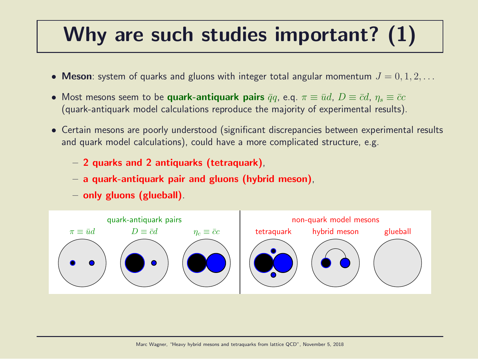## Why are such studies important? (1)

- Meson: system of quarks and gluons with integer total angular momentum  $J = 0, 1, 2, \ldots$
- Most mesons seem to be quark-antiquark pairs  $\bar{q}q$ , e.q.  $\pi \equiv \bar{u}d$ ,  $D \equiv \bar{c}d$ ,  $\eta_s \equiv \bar{c}c$ (quark-antiquark model calculations reproduce the majority of experimental results).
- Certain mesons are poorly understood (significant discrepancies between experimental results and quark model calculations), could have a more complicated structure, e.g.
	- 2 quarks and 2 antiquarks (tetraquark),
	- a quark-antiquark pair and gluons (hybrid meson),
	- only gluons (glueball).

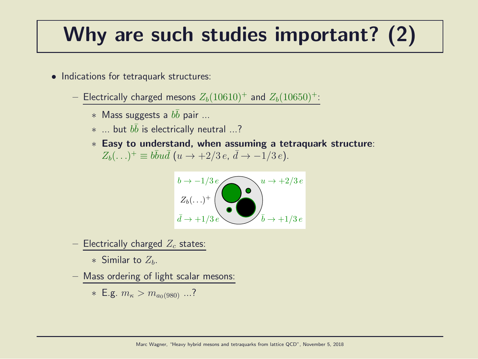## Why are such studies important? (2)

- Indications for tetraquark structures:
	- Electrically charged mesons  $Z_b(10610)^+$  and  $Z_b(10650)^+$ :
		- $*$  Mass suggests a  $b\bar{b}$  pair ...
		- $*$  ... but  $b\bar{b}$  is electrically neutral ...?
		- ∗ Easy to understand, when assuming a tetraquark structure:  $Z_b(\ldots)^+ \equiv b\bar{b}u\bar{d}$   $(u \to +2/3 e, \, \bar{d} \to -1/3 e).$



- Electrically charged  $Z_c$  states:

∗ Similar to  $Z_h$ .

– Mass ordering of light scalar mesons:

\* E.g. 
$$
m_{\kappa} > m_{a_0(980)}
$$
 ...?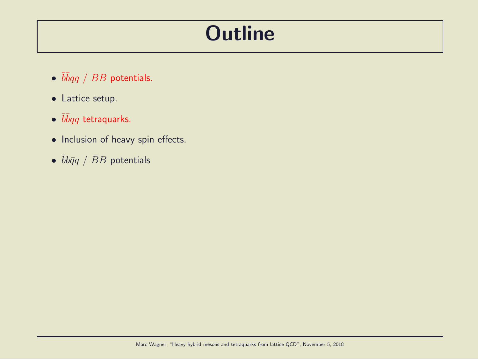#### **Outline**

- $\overline{b} \overline{b} q \overline{q}$  /  $BB$  potentials.
- Lattice setup.
- $\bullet$   $\bar b\bar b qq$  tetraquarks.
- Inclusion of heavy spin effects.
- $\bullet$   $\bar{b}b\bar{q}q$  /  $\bar{B}B$  potentials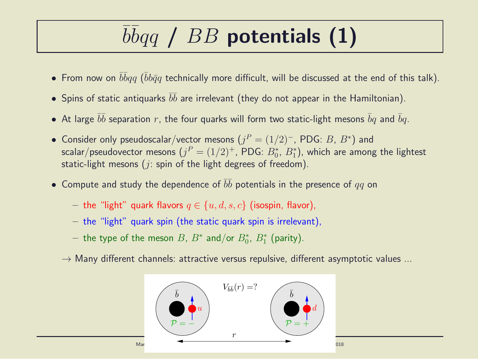# $\overline{b} \overline{b} q \overline{q}$  /  $BB$  potentials (1)

- $\bullet$  From now on  $\bar b\bar b qq$  ( $\bar b b\bar q q$  technically more difficult, will be discussed at the end of this talk).
- $\bullet$  Spins of static antiquarks  $\bar b \bar b$  are irrelevant (they do not appear in the Hamiltonian).
- $\bullet$  At large  $\bar{b}\bar{b}$  separation  $r$ , the four quarks will form two static-light mesons  $\bar{b}q$  and  $\bar{b}q$ .
- Consider only pseudoscalar/vector mesons  $(j^P = (1/2)^-, \text{PDG: } B, B^*)$  and scalar/pseudovector mesons  $(j^P = (1/2)^+,$  PDG:  $B^{\ast}_0$ ,  $B^{\ast}_1$ ), which are among the lightest static-light mesons ( $i$ : spin of the light degrees of freedom).
- $\bullet$  Compute and study the dependence of  $\bar{b}\bar{b}$  potentials in the presence of  $qq$  on
	- the "light" quark flavors  $q \in \{u, d, s, c\}$  (isospin, flavor),
	- $-$  the "light" quark spin (the static quark spin is irrelevant),
	- $-$  the type of the meson  $B$ ,  $B^*$  and/or  $B^*_0$ ,  $B^*_1$  (parity).
	- $\rightarrow$  Many different channels: attractive versus repulsive, different asymptotic values ...

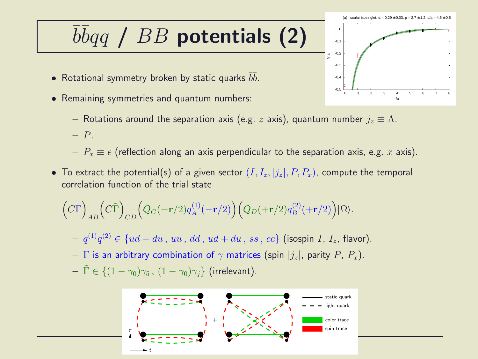## $\overline{b} \overline{b} q \overline{q}$  /  $BB$  potentials (2)

- Rotational symmetry broken by static quarks  $\bar b \bar b.$
- Remaining symmetries and quantum numbers:
	- Rotations around the separation axis (e.g. z axis), quantum number  $j_z \equiv \Lambda$ .
	- P.
	- $P_x \equiv \epsilon$  (reflection along an axis perpendicular to the separation axis, e.g. x axis).
- To extract the potential(s) of a given sector  $(I, I_z, |j_z|, P, P_x)$ , compute the temporal correlation function of the trial state

$$
\Big(C\Gamma\Big)_{AB}\Big(C\tilde{\Gamma}\Big)_{CD}\Big(\bar{Q}_C(-{\mathbf r}/2)q_A^{(1)}(-{\mathbf r}/2)\Big)\Big(\bar{Q}_D(+{\mathbf r}/2)q_B^{(2)}(+{\mathbf r}/2)\Big)|\Omega\rangle.
$$

- $− q^{(1)}q^{(2)} ∈ {ud du , uu, dd, ud + du, ss, cc}$  (isospin *I*, *I*<sub>z</sub>, flavor).
- Γ is an arbitrary combination of  $\gamma$  matrices (spin  $|j_z|$ , parity P,  $P_x$ ).
- $-\tilde{\Gamma} \in \{(1-\gamma_0)\gamma_5, (1-\gamma_0)\gamma_i\}$  (irrelevant).



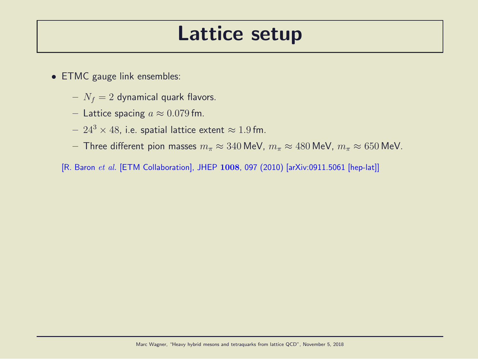#### Lattice setup

- ETMC gauge link ensembles:
	- $N_f = 2$  dynamical quark flavors.
	- Lattice spacing  $a \approx 0.079$  fm.
	- $24^3 \times 48$ , i.e. spatial lattice extent  $\approx 1.9$  fm.
	- Three different pion masses  $m_{\pi} \approx 340$  MeV,  $m_{\pi} \approx 480$  MeV,  $m_{\pi} \approx 650$  MeV.
	- [R. Baron et al. [ETM Collaboration], JHEP 1008, 097 (2010) [arXiv:0911.5061 [hep-lat]]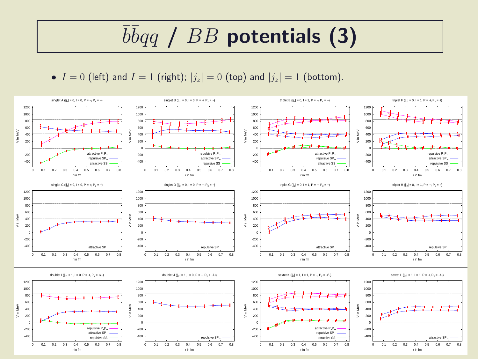## $\overline{b} \overline{b} q \overline{q}$  /  $BB$  potentials (3)

•  $I = 0$  (left) and  $I = 1$  (right);  $|j_z| = 0$  (top) and  $|j_z| = 1$  (bottom).

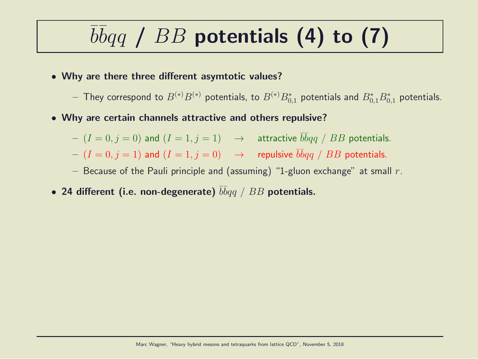# $\overline{b} \overline{b} q \overline{q}$  /  $BB$  potentials (4) to (7)

- Why are there three different asymtotic values?
	- $-$  They correspond to  $B^{(*)}B^{(*)}$  potentials, to  $B^{(*)}B^*_{0,1}$  potentials and  $B^*_{0,1}B^*_{0,1}$  potentials.
- Why are certain channels attractive and others repulsive?
	- $(I = 0, j = 0)$  and  $(I = 1, j = 1) \rightarrow$  attractive  $\overline{b}bqq / BB$  potentials.
	- $(I = 0, j = 1)$  and  $(I = 1, j = 0) \rightarrow$  repulsive  $\overline{bb}qq$  /  $BB$  potentials.
	- Because of the Pauli principle and (assuming) "1-gluon exchange" at small  $r$ .
- 24 different (i.e. non-degenerate)  $\bar{b} \bar{b} q q ~ / ~ B B$  potentials.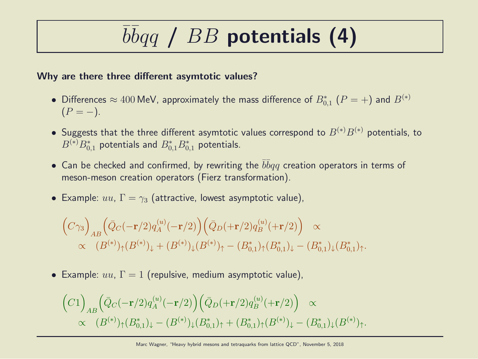# $\overline{b} \overline{b} q \overline{q}$  /  $BB$  potentials (4)

#### Why are there three different asymtotic values?

- Differences  $\approx 400$  MeV, approximately the mass difference of  $B_{0,1}^*$   $(P = +)$  and  $B^{(*)}$  $(P = -).$
- Suggests that the three different asymtotic values correspond to  $B^{(*)}B^{(*)}$  potentials, to  $B^{(\ast)}B_{0,1}^\ast$  potentials and  $B_{0,1}^\ast B_{0,1}^\ast$  potentials.
- Can be checked and confirmed, by rewriting the  $\bar{b} \bar{b} q q$  creation operators in terms of meson-meson creation operators (Fierz transformation).
- Example:  $uu, \Gamma = \gamma_3$  (attractive, lowest asymptotic value),

$$
\begin{aligned}\n\left(C\gamma_3\right)_{AB} &\left(\bar{Q}_C(-\mathbf{r}/2)q_A^{(u)}(-\mathbf{r}/2)\right)\left(\bar{Q}_D(+\mathbf{r}/2)q_B^{(u)}(+\mathbf{r}/2)\right) \propto \\
&\propto (B^{(*)})_{\uparrow}(B^{(*)})_{\downarrow} + (B^{(*)})_{\downarrow}(B^{(*)})_{\uparrow} - (B^*_{0,1})_{\uparrow}(B^*_{0,1})_{\downarrow} - (B^*_{0,1})_{\downarrow}(B^*_{0,1})_{\uparrow}.\n\end{aligned}
$$

• Example:  $uu, \Gamma = 1$  (repulsive, medium asymptotic value),

$$
\begin{aligned}\n\left(C1\right)_{AB} \left(\bar{Q}_C(-\mathbf{r}/2) q_A^{(u)}(-\mathbf{r}/2)\right) \left(\bar{Q}_D(+\mathbf{r}/2) q_B^{(u)}(+\mathbf{r}/2)\right) &\propto \\
&\propto \quad (B^{(*)})_{\uparrow} (B^*_{0,1})_{\downarrow} - (B^{(*)})_{\downarrow} (B^*_{0,1})_{\uparrow} + (B^*_{0,1})_{\uparrow} (B^{(*)})_{\downarrow} - (B^*_{0,1})_{\downarrow} (B^{(*)})_{\uparrow}.\n\end{aligned}
$$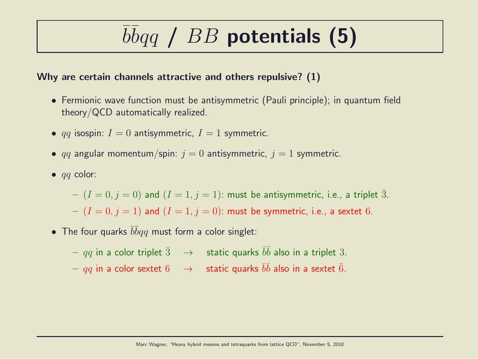# $\overline{b} \overline{b} q \overline{q}$  /  $BB$  potentials (5)

#### Why are certain channels attractive and others repulsive? (1)

- Fermionic wave function must be antisymmetric (Pauli principle); in quantum field theory/QCD automatically realized.
- qq isospin:  $I = 0$  antisymmetric,  $I = 1$  symmetric.
- qq angular momentum/spin:  $j = 0$  antisymmetric,  $j = 1$  symmetric.
- $\bullet$  *qq* color:

 $-(I = 0, j = 0)$  and  $(I = 1, j = 1)$ : must be antisymmetric, i.e., a triplet  $\overline{3}$ .  $-(I = 0, j = 1)$  and  $(I = 1, j = 0)$ : must be symmetric, i.e., a sextet 6.

• The four quarks  $\bar{b}\bar{b}qq$  must form a color singlet:

 $qq$  in a color triplet  $\bar{3}$   $\;\;\rightarrow$   $\;$  static quarks  $\bar{b}\bar{b}$  also in a triplet  $3.$  $qq$  in a color sextet  $6$   $\;\;\rightarrow$   $\;$  static quarks  $\bar{b}\bar{b}$  also in a sextet  $\bar{6}.$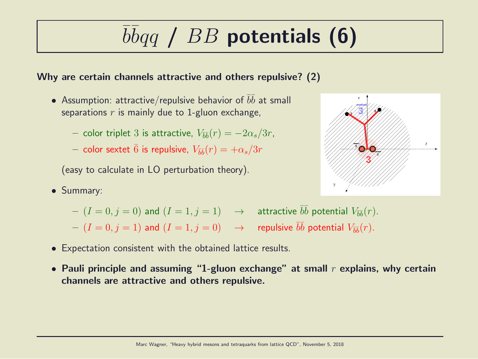# $\overline{b} \overline{b} q \overline{q}$  /  $BB$  potentials (6)

#### Why are certain channels attractive and others repulsive? (2)

- Assumption: attractive/repulsive behavior of  $\bar{b}\bar{b}$  at small separations  $r$  is mainly due to 1-gluon exchange,
	- $-$  color triplet 3 is attractive,  $V_{\bar{b}\bar{b}}(r) = -2\alpha_s/3r$ ,
	- $-$  color sextet  $\bar{6}$  is repulsive,  $V_{\bar{b}\bar{b}}(r)=+\alpha_s/3r$

(easy to calculate in LO perturbation theory).

• Summary:



- $(I = 0, j = 0)$  and  $(I = 1, j = 1)$   $\rightarrow$  attractive  $\overline{bb}$  potential  $V_{\overline{bb}}(r)$ .
- $(I = 0, j = 1)$  and  $(I = 1, j = 0) \longrightarrow$  repulsive  $\bar{b}\bar{b}$  potential  $V_{\bar{b}\bar{b}}(r)$ .
- Expectation consistent with the obtained lattice results.
- Pauli principle and assuming "1-gluon exchange" at small  $r$  explains, why certain channels are attractive and others repulsive.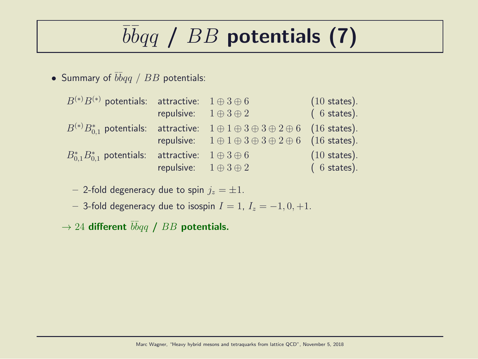# $\overline{b} \overline{b} q \overline{q}$  /  $BB$  potentials (7)

• Summary of  $\bar{b} \bar{b} q q$  /  $BB$  potentials:

| $(6 \text{ states}).$<br>repulsive: $1 \oplus 3 \oplus 2$                                                |
|----------------------------------------------------------------------------------------------------------|
|                                                                                                          |
| $B^{(*)}B_{0.1}^*$ potentials: attractive: $1 \oplus 1 \oplus 3 \oplus 3 \oplus 2 \oplus 6$ (16 states). |
| repulsive: $1 \oplus 1 \oplus 3 \oplus 3 \oplus 2 \oplus 6$ (16 states).                                 |
| $(10 \text{ states}).$<br>$B_{0.1}^* B_{0.1}^*$ potentials: attractive: $1 \oplus 3 \oplus 6$            |
| repulsive: $1 \oplus 3 \oplus 2$<br>$(6 \text{ states}).$                                                |

- 2-fold degeneracy due to spin  $j_z = \pm 1$ .

– 3-fold degeneracy due to isospin  $I = 1$ ,  $I_z = -1, 0, +1$ .

 $\rightarrow$  24 different  $\bar{b}\bar{b}qq$  /  $BB$  potentials.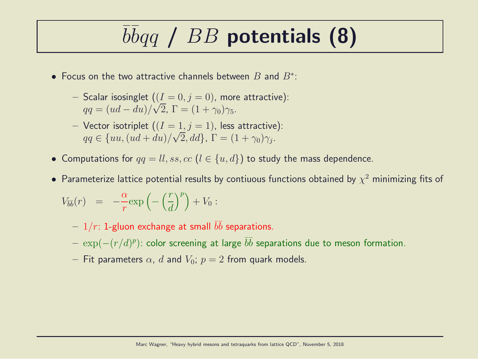## $\overline{b} \overline{b} q \overline{q}$  /  $BB$  potentials (8)

- Focus on the two attractive channels between  $B$  and  $B^*$ :
	- Scalar isosinglet  $((I = 0, j = 0)$ , more attractive):  $qq = (ud - du)/\sqrt{2}$ ,  $\Gamma = (1 + \gamma_0)\gamma_5$ .
	- Vector isotriplet  $((I = 1, j = 1))$ , less attractive):  $qq \in \{uu, (ud+du)/\sqrt{2}, dd\}, \Gamma = (1+\gamma_0)\gamma_j.$
- Computations for  $qq = ll, ss, cc$   $(l \in \{u, d\})$  to study the mass dependence.
- $\bullet$  Parameterize lattice potential results by contiuous functions obtained by  $\chi^2$  minimizing fits of

$$
V_{\bar{b}\bar{b}}(r) = -\frac{\alpha}{r} \exp\left(-\left(\frac{r}{d}\right)^p\right) + V_0:
$$

- $1/r$ : 1-gluon exchange at small  $\bar{b}\bar{b}$  separations.
- $\, \exp(-(r/d)^p)$ : color screening at large  $\bar{b} \bar{b}$  separations due to meson formation.
- Fit parameters  $\alpha$ , d and  $V_0$ ;  $p = 2$  from quark models.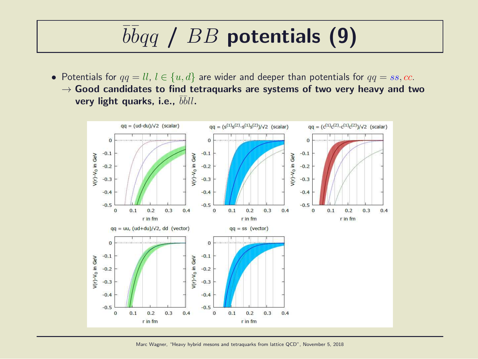# $\overline{b} \overline{b} q \overline{q}$  /  $BB$  potentials (9)

• Potentials for  $qq = ll, l \in \{u, d\}$  are wider and deeper than potentials for  $qq = ss, cc$ .  $\rightarrow$  Good candidates to find tetraquarks are systems of two very heavy and two very light quarks, i.e.,  $\bar{b}\bar{b}ll$ .



Marc Wagner, "Heavy hybrid mesons and tetraquarks from lattice QCD", November 5, 2018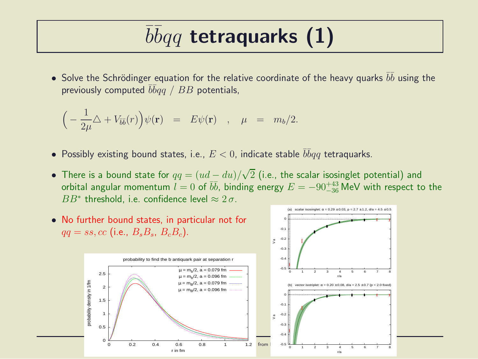## $\overline{b} \overline{b} q q$  tetraquarks (1)

• Solve the Schrödinger equation for the relative coordinate of the heavy quarks  $\bar{b}\bar{b}$  using the previously computed  $\bar b \bar b q q \; / \; BB$  potentials,

$$
\Big(-\frac{1}{2\mu}\triangle + V_{\overline{b}\overline{b}}(r)\Big)\psi(\mathbf{r}) = E\psi(\mathbf{r}) , \quad \mu = m_b/2.
$$

- $\bullet$  Possibly existing bound states, i.e.,  $E < 0$ , indicate stable  $\bar b \bar b q q$  tetraquarks.
- There is a bound state for  $qq = (ud du)/\sqrt{2}$  (i.e., the scalar isosinglet potential) and orbital angular momentum  $l = 0$  of  $b\bar{b}$ , binding energy  $E = -90^{+43}_{-36}$  MeV with respect to the  $BB^*$  threshold, i.e. confidence level  $\approx 2\sigma$ .

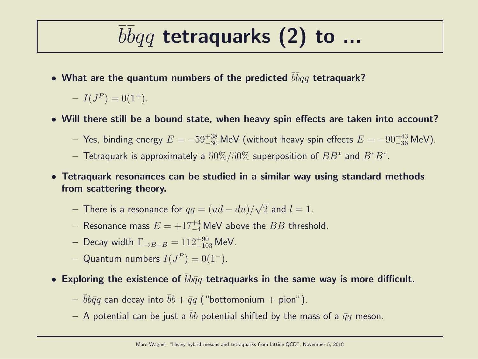## $\overline{b} \overline{b} q q$  tetraquarks (2) to ...

• What are the quantum numbers of the predicted  $\bar b \bar b q q$  tetraquark?

 $-I(J^P) = 0(1^+).$ 

- Will there still be a bound state, when heavy spin effects are taken into account?
	- $-$  Yes, binding energy  $E = -59^{+38}_{-30}$  MeV (without heavy spin effects  $E = -90^{+43}_{-36}$  MeV).
	- $-$  Tetraquark is approximately a  $50\%/50\%$  superposition of  $BB^*$  and  $B^*B^*.$
- Tetraquark resonances can be studied in a similar way using standard methods from scattering theory.
	- $-$  There is a resonance for  $qq = (ud du)/\sqrt{2}$  and  $l = 1$ .
	- $-$  Resonance mass  $E = +17^{+4}_{-4}$  MeV above the  $BB$  threshold.
	- $-$  Decay width  $\Gamma_{\rightarrow B+B}=112^{+90}_{-103}$  MeV.
	- $-$  Quantum numbers  $I(J^P) = 0(1^-)$ .
- Exploring the existence of  $bb\bar{q}q$  tetraquarks in the same way is more difficult.
	- $-\bar{b}b\bar{q}q$  can decay into  $\bar{b}b + \bar{q}q$  ("bottomonium + pion").
	- A potential can be just a  $\bar{b}b$  potential shifted by the mass of a  $\bar{q}q$  meson.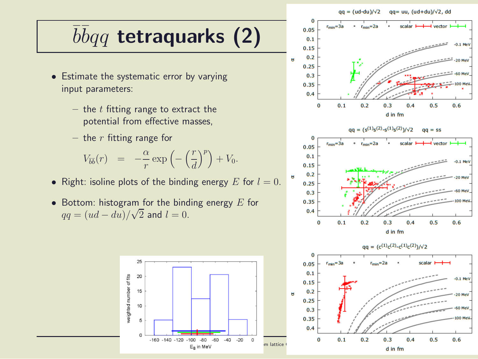#### $qa = (ud-du)/\sqrt{2}$  $qq = uu, (ud+du)/\sqrt{2}$ , dd

# $\overline{b} \overline{b} q q$  tetraquarks (2)

- Estimate the systematic error by varying input parameters:
	- the  $t$  fitting range to extract the potential from effective masses,
	- the  $r$  fitting range for

$$
V_{\overline{b}\overline{b}}(r) = -\frac{\alpha}{r} \exp\left(-\left(\frac{r}{d}\right)^p\right) + V_0.
$$

- Right: isoline plots of the binding energy  $E$  for  $l = 0$ .
- Bottom: histogram for the binding energy  $E$  for  $qq = (ud - du)/\sqrt{2}$  and  $l = 0$ .





 $0.2$ 

 $\Omega$ 

 $0.3$ 

d in fm

 $0.4$ 

 $0.5$ 

 $0.6$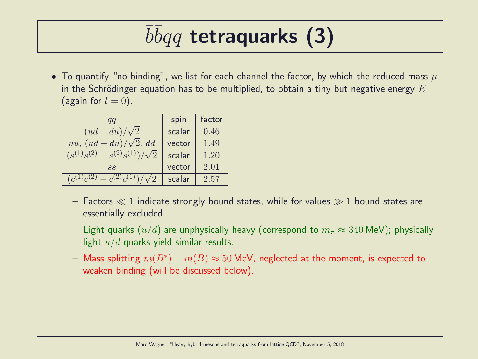## $\overline{b} \overline{b} q q$  tetraquarks (3)

• To quantify "no binding", we list for each channel the factor, by which the reduced mass  $\mu$ in the Schrödinger equation has to be multiplied, to obtain a tiny but negative energy  $E$ (again for  $l = 0$ ).

| qq                                       | spin   | factor |
|------------------------------------------|--------|--------|
| $(ud - du)/\sqrt{2}$                     | scalar | 0.46   |
| uu, $(ud+du)/\sqrt{2}$ , dd              | vector | 1.49   |
| $(s^{(1)}s^{(2)} - s^{(2)}s^{(1)})$      | scalar | 1.20   |
| SS                                       | vector | 2.01   |
| (2)<br>$-c^{(2)}c^{(1)}$<br>$(c^{(1)}c)$ | scalar | 2.57   |

- Factors  $\ll 1$  indicate strongly bound states, while for values  $\gg 1$  bound states are essentially excluded.
- Light quarks  $(u/d)$  are unphysically heavy (correspond to  $m_\pi \approx 340$  MeV); physically light  $u/d$  quarks yield similar results.
- $-$  Mass splitting  $m(B^*) m(B) \approx 50$  MeV, neglected at the moment, is expected to weaken binding (will be discussed below).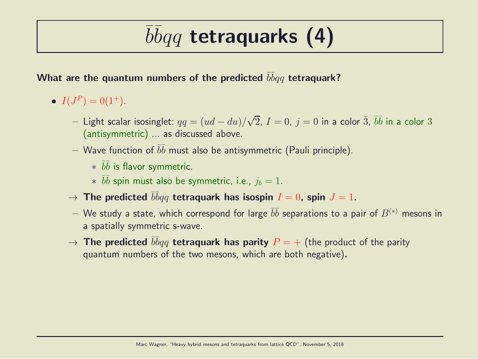## $\overline{b} \overline{b} q q$  tetraquarks (4)

#### What are the quantum numbers of the predicted  $\bar b \bar b q q$  tetraquark?

- $I(J^P) = 0(1^+).$ 
	- $−$  Light scalar isosinglet:  $qq = (ud du)/\sqrt{2}$ ,  $I = 0$ ,  $j = 0$  in a color  $\bar{3}$ ,  $\bar{b}\bar{b}$  in a color  $3$ (antisymmetric) ... as discussed above.
	- $-$  Wave function of  $\bar b \bar b$  must also be antisymmetric (Pauli principle).
		- $*$   $\bar{b}\bar{b}$  is flavor symmetric.
		- $*$   $\bar{b}\bar{b}$  spin must also be symmetric, i.e.,  $j_b = 1$ .
	- $\rightarrow$  The predicted  $\bar{b}\bar{b}qq$  tetraquark has isospin  $I=0$ , spin  $J=1.$
	- $-$  We study a state, which correspond for large  $\bar b \bar b$  separations to a pair of  $B^{(*)}$  mesons in a spatially symmetric s-wave.
	- $\rightarrow$  The predicted  $\bar{b}\bar{b}qq$  tetraquark has parity  $P=+$  (the product of the parity quantum numbers of the two mesons, which are both negative).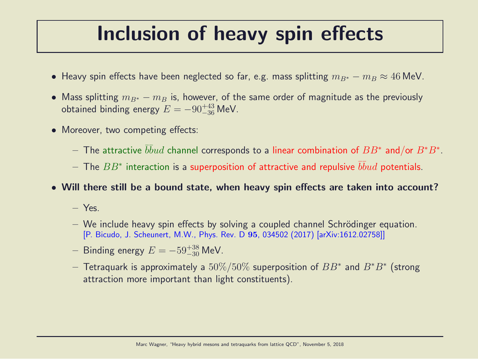#### Inclusion of heavy spin effects

- Heavy spin effects have been neglected so far, e.g. mass splitting  $m_{B*} m_B \approx 46$  MeV.
- Mass splitting  $m_{B^*} m_B$  is, however, of the same order of magnitude as the previously obtained binding energy  $E = -90^{+43}_{-36}$  MeV.
- Moreover, two competing effects:
	- $-$  The attractive  $\bar b\bar b ud$  channel corresponds to a linear combination of  $BB^*$  and/or  $B^*B^*.$
	- $-$  The  $BB^{\ast}$  interaction is a superposition of attractive and repulsive  $\bar{b}\bar{b}ud$  potentials.
- Will there still be a bound state, when heavy spin effects are taken into account?
	- Yes.
	- $-$  We include heavy spin effects by solving a coupled channel Schrödinger equation. [P. Bicudo, J. Scheunert, M.W., Phys. Rev. D 95, 034502 (2017) [arXiv:1612.02758]]
	- $−$  Binding energy  $E = -59^{+38}_{-30}$  MeV.
	- $-$  Tetraquark is approximately a  $50\%/50\%$  superposition of  $BB^*$  and  $B^*B^*$  (strong attraction more important than light constituents).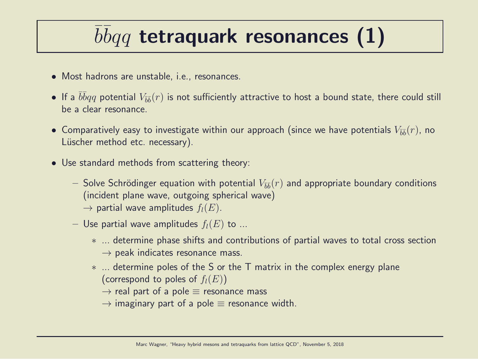## $\overline{b} \overline{b} q q$  tetraquark resonances (1)

- Most hadrons are unstable, i.e., resonances.
- $\bullet$  If a  $\bar{b}\bar{b}qq$  potential  $V_{\bar{b}\bar{b}}(r)$  is not sufficiently attractive to host a bound state, there could still be a clear resonance.
- $\bullet$  Comparatively easy to investigate within our approach (since we have potentials  $V_{\bar{b}\bar{b}}(r)$ , no Lüscher method etc. necessary).
- Use standard methods from scattering theory:
	- $-$  Solve Schrödinger equation with potential  $V_{\bar{b}\bar{b}}(r)$  and appropriate boundary conditions (incident plane wave, outgoing spherical wave)  $\rightarrow$  partial wave amplitudes  $f_l(E)$ .
	- Use partial wave amplitudes  $f_l(E)$  to ...
		- ∗ ... determine phase shifts and contributions of partial waves to total cross section  $\rightarrow$  peak indicates resonance mass.
		- ∗ ... determine poles of the S or the T matrix in the complex energy plane (correspond to poles of  $f_l(E)$ )
			- $\rightarrow$  real part of a pole  $\equiv$  resonance mass
			- $\rightarrow$  imaginary part of a pole  $\equiv$  resonance width.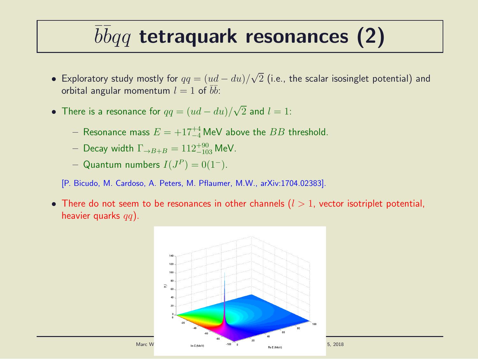## $\overline{b} \overline{b} q q$  tetraquark resonances (2)

- Exploratory study mostly for  $qq=(ud-du)/\sqrt{2}$  (i.e., the scalar isosinglet potential) and orbital angular momentum  $l=1$  of  $\overline{b}\overline{b}$ :
- There is a resonance for  $qq=(ud-du)/\sqrt{2}$  and  $l=1$ :
	- $-$  Resonance mass  $E = +17^{+4}_{-4}$  MeV above the  $BB$  threshold.
	- $-$  Decay width  $\Gamma_{\rightarrow B+B}=112^{+90}_{-103}$  MeV.
	- $-$  Quantum numbers  $I(J^P)=0(1^-).$
	- [P. Bicudo, M. Cardoso, A. Peters, M. Pflaumer, M.W., arXiv:1704.02383].
- There do not seem to be resonances in other channels  $(l > 1)$ , vector isotriplet potential, heavier quarks  $qq$ ).

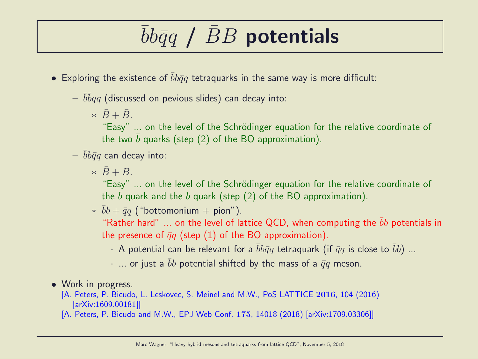## $bb\bar q q$  /  $BB$  potentials

- Exploring the existence of  $bb\bar{q}q$  tetraquarks in the same way is more difficult:
	- $-\,\,\overline{b}\overline{b} q q$  (discussed on pevious slides) can decay into:
		- $\overline{B} + \overline{B}$ .

"Easy" ... on the level of the Schrödinger equation for the relative coordinate of the two b quarks (step  $(2)$  of the BO approximation).

- $bb\bar{q}q$  can decay into:
	- $\ast \bar{B} + B$

"Easy" ... on the level of the Schrödinger equation for the relative coordinate of the b quark and the b quark (step  $(2)$  of the BO approximation).

 $* \bar{b}b + \bar{q}q$  ("bottomonium + pion").

"Rather hard" ... on the level of lattice QCD, when computing the  $\bar{b}b$  potentials in the presence of  $\bar{q}q$  (step (1) of the BO approximation).

- · A potential can be relevant for a  $\bar{b}b\bar{q}q$  tetraquark (if  $\bar{q}q$  is close to  $\bar{b}b$ ) ...
- $\cdot$  ... or just a bb potential shifted by the mass of a  $\bar{q}q$  meson.
- Work in progress.

[A. Peters, P. Bicudo, L. Leskovec, S. Meinel and M.W., PoS LATTICE 2016, 104 (2016) [arXiv:1609.00181]]

[A. Peters, P. Bicudo and M.W., EPJ Web Conf. 175, 14018 (2018) [arXiv:1709.03306]]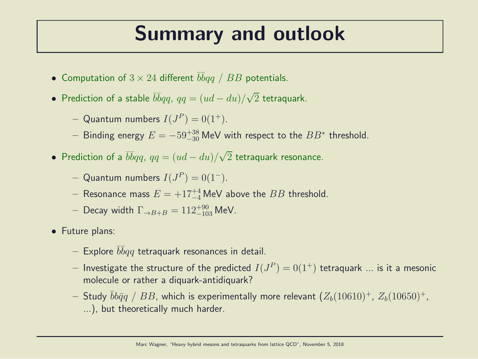#### Summary and outlook

- Computation of  $3 \times 24$  different  $\overline{bb}q$  /  $BB$  potentials.
- Prediction of a stable  $\bar{b} \bar{b} qq$ ,  $qq = (ud du)/\sqrt{2}$  tetraquark.
	- $-$  Quantum numbers  $I(J^P) = 0(1^+).$
	- $-$  Binding energy  $E = -59^{+38}_{-30}$  MeV with respect to the  $BB^*$  threshold.
- Prediction of a  $\bar{b}\bar{b}qq$ ,  $qq=(ud-du)/\sqrt{2}$  tetraquark resonance.
	- $-$  Quantum numbers  $I(J^P) = 0(1^-)$ .
	- $-$  Resonance mass  $E = +17^{+4}_{-4}$  MeV above the  $BB$  threshold.
	- $-$  Decay width  $\Gamma_{\rightarrow B+B} = 112^{+90}_{-103}$  MeV.
- Future plans:
	- $-$  Explore  $\bar b\bar b qq$  tetraquark resonances in detail.
	- $-$  Investigate the structure of the predicted  $I(J^P)=0(1^+)$  tetraquark  $...$  is it a mesonic molecule or rather a diquark-antidiquark?
	- Study  $bb\bar{q}q$  / BB, which is experimentally more relevant  $(Z_b(10610)^+, Z_b(10650)^+,$ ...), but theoretically much harder.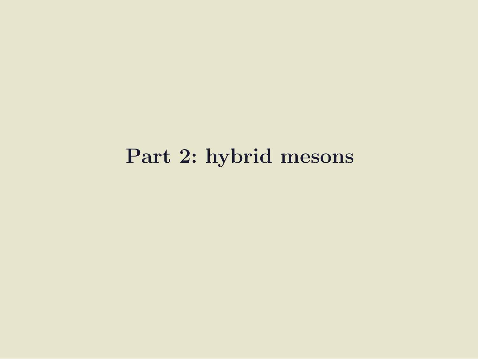#### Part 2: hybrid mesons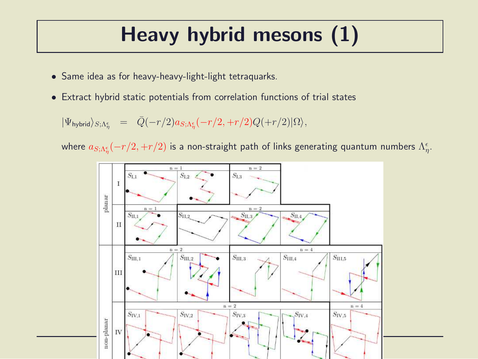## Heavy hybrid mesons (1)

- Same idea as for heavy-heavy-light-light tetraquarks.
- Extract hybrid static potentials from correlation functions of trial states

 $|\Psi_{\rm hybrid}\rangle_{S;\Lambda^\epsilon_\eta} \;\; = \;\; \bar{Q}(-r/2) a_{S;\Lambda^\epsilon_\eta}(-r/2,+r/2) Q(+r/2) |\Omega\rangle,$ 

where  $a_{S;\Lambda^\epsilon_\eta}(-r/2,+r/2)$  is a non-straight path of links generating quantum numbers  $\Lambda^\epsilon_\eta.$ 

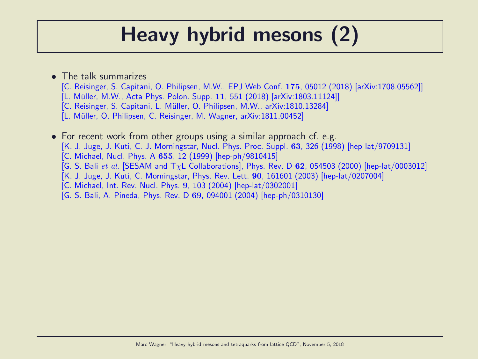### Heavy hybrid mesons (2)

- The talk summarizes
	- [C. Reisinger, S. Capitani, O. Philipsen, M.W., EPJ Web Conf. 175, 05012 (2018) [arXiv:1708.05562]]
	- [L. Müller, M.W., Acta Phys. Polon. Supp. 11, 551 (2018) [arXiv:1803.11124]]
	- [C. Reisinger, S. Capitani, L. Müller, O. Philipsen, M.W., arXiv:1810.13284]
	- [L. Müller, O. Philipsen, C. Reisinger, M. Wagner, arXiv:1811.00452]

• For recent work from other groups using a similar approach cf. e.g. [K. J. Juge, J. Kuti, C. J. Morningstar, Nucl. Phys. Proc. Suppl. 63, 326 (1998) [hep-lat/9709131] [C. Michael, Nucl. Phys. A 655, 12 (1999) [hep-ph/9810415] [G. S. Bali et al. [SESAM and  $T_{\chi}L$  Collaborations], Phys. Rev. D 62, 054503 (2000) [hep-lat/0003012] [K. J. Juge, J. Kuti, C. Morningstar, Phys. Rev. Lett. 90, 161601 (2003) [hep-lat/0207004] [C. Michael, Int. Rev. Nucl. Phys. 9, 103 (2004) [hep-lat/0302001] [G. S. Bali, A. Pineda, Phys. Rev. D 69, 094001 (2004) [hep-ph/0310130]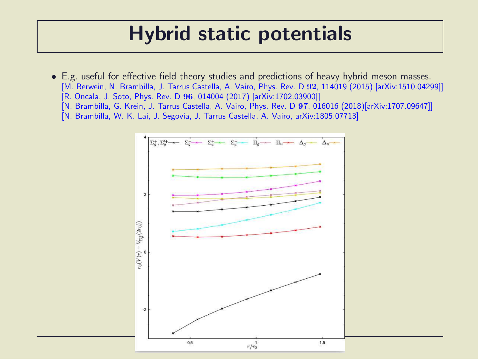#### Hybrid static potentials

- E.g. useful for effective field theory studies and predictions of heavy hybrid meson masses. [M. Berwein, N. Brambilla, J. Tarrus Castella, A. Vairo, Phys. Rev. D 92, 114019 (2015) [arXiv:1510.04299]] [R. Oncala, J. Soto, Phys. Rev. D 96, 014004 (2017) [arXiv:1702.03900]] [N. Brambilla, G. Krein, J. Tarrus Castella, A. Vairo, Phys. Rev. D 97, 016016 (2018)[arXiv:1707.09647]]
	- [N. Brambilla, W. K. Lai, J. Segovia, J. Tarrus Castella, A. Vairo, arXiv:1805.07713]

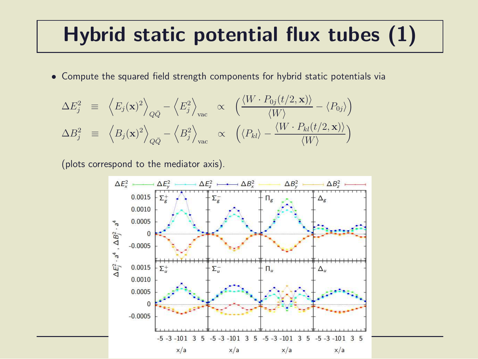#### Hybrid static potential flux tubes (1)

• Compute the squared field strength components for hybrid static potentials via

$$
\Delta E_j^2 \equiv \left\langle E_j(\mathbf{x})^2 \right\rangle_{Q\bar{Q}} - \left\langle E_j^2 \right\rangle_{\text{vac}} \propto \left( \frac{\langle W \cdot P_{0j}(t/2, \mathbf{x}) \rangle}{\langle W \rangle} - \langle P_{0j} \rangle \right)
$$
  

$$
\Delta B_j^2 \equiv \left\langle B_j(\mathbf{x})^2 \right\rangle_{Q\bar{Q}} - \left\langle B_j^2 \right\rangle_{\text{vac}} \propto \left( \langle P_{kl} \rangle - \frac{\langle W \cdot P_{kl}(t/2, \mathbf{x}) \rangle}{\langle W \rangle} \right)
$$

(plots correspond to the mediator axis).